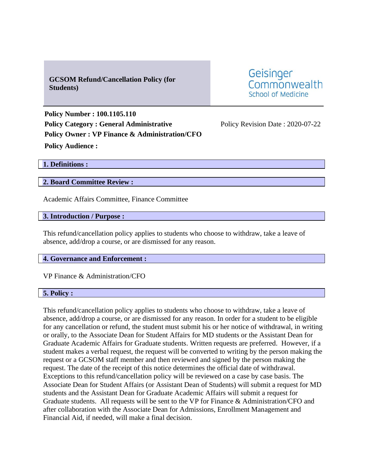# **GCSOM Refund/Cancellation Policy (for Students)**

Geisinger Commonwealth School of Medicine

**Policy Number : 100.1105.110 Policy Category : General Administrative** Policy Revision Date : 2020-07-22 **Policy Owner : VP Finance & Administration/CFO Policy Audience :** 

**1. Definitions :** 

### **2. Board Committee Review :**

Academic Affairs Committee, Finance Committee

**3. Introduction / Purpose :** 

This refund/cancellation policy applies to students who choose to withdraw, take a leave of absence, add/drop a course, or are dismissed for any reason.

#### **4. Governance and Enforcement :**

VP Finance & Administration/CFO

#### **5. Policy :**

This refund/cancellation policy applies to students who choose to withdraw, take a leave of absence, add/drop a course, or are dismissed for any reason. In order for a student to be eligible for any cancellation or refund, the student must submit his or her notice of withdrawal, in writing or orally, to the Associate Dean for Student Affairs for MD students or the Assistant Dean for Graduate Academic Affairs for Graduate students. Written requests are preferred. However, if a student makes a verbal request, the request will be converted to writing by the person making the request or a GCSOM staff member and then reviewed and signed by the person making the request. The date of the receipt of this notice determines the official date of withdrawal. Exceptions to this refund/cancellation policy will be reviewed on a case by case basis. The Associate Dean for Student Affairs (or Assistant Dean of Students) will submit a request for MD students and the Assistant Dean for Graduate Academic Affairs will submit a request for Graduate students. All requests will be sent to the VP for Finance & Administration/CFO and after collaboration with the Associate Dean for Admissions, Enrollment Management and Financial Aid, if needed, will make a final decision.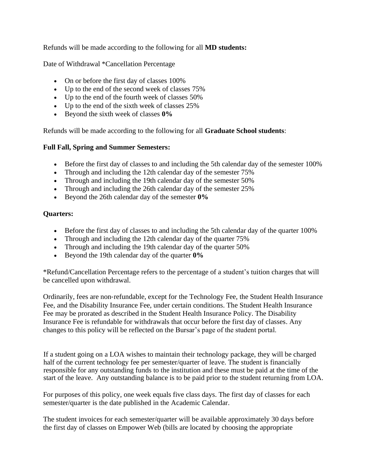Refunds will be made according to the following for all **MD students:**

Date of Withdrawal \*Cancellation Percentage

- On or before the first day of classes 100%
- Up to the end of the second week of classes 75%
- Up to the end of the fourth week of classes 50%
- Up to the end of the sixth week of classes 25%
- Beyond the sixth week of classes **0%**

Refunds will be made according to the following for all **Graduate School students**:

## **Full Fall, Spring and Summer Semesters:**

- Before the first day of classes to and including the 5th calendar day of the semester 100%
- Through and including the 12th calendar day of the semester 75%
- Through and including the 19th calendar day of the semester 50%
- Through and including the 26th calendar day of the semester 25%
- Beyond the 26th calendar day of the semester **0%**

## **Quarters:**

- Before the first day of classes to and including the 5th calendar day of the quarter 100%
- Through and including the 12th calendar day of the quarter 75%
- Through and including the 19th calendar day of the quarter 50%
- Beyond the 19th calendar day of the quarter **0%**

\*Refund/Cancellation Percentage refers to the percentage of a student's tuition charges that will be cancelled upon withdrawal.

Ordinarily, fees are non‐refundable, except for the Technology Fee, the Student Health Insurance Fee, and the Disability Insurance Fee, under certain conditions. The Student Health Insurance Fee may be prorated as described in the Student Health Insurance Policy. The Disability Insurance Fee is refundable for withdrawals that occur before the first day of classes. Any changes to this policy will be reflected on the Bursar's page of the student portal.

If a student going on a LOA wishes to maintain their technology package, they will be charged half of the current technology fee per semester/quarter of leave. The student is financially responsible for any outstanding funds to the institution and these must be paid at the time of the start of the leave. Any outstanding balance is to be paid prior to the student returning from LOA.

For purposes of this policy, one week equals five class days. The first day of classes for each semester/quarter is the date published in the Academic Calendar.

The student invoices for each semester/quarter will be available approximately 30 days before the first day of classes on Empower Web (bills are located by choosing the appropriate